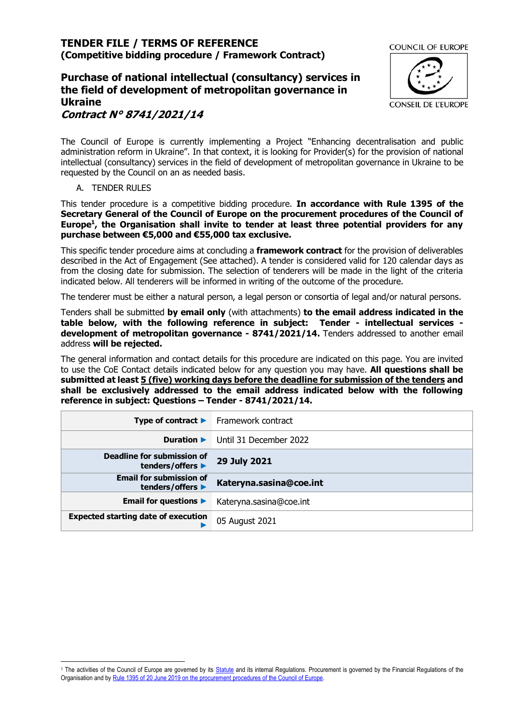# **Purchase of national intellectual (consultancy) services in the field of development of metropolitan governance in Ukraine Contract N° 8741/2021/14**



The Council of Europe is currently implementing a Project "Enhancing decentralisation and public administration reform in Ukraine". In that context, it is looking for Provider(s) for the provision of national intellectual (consultancy) services in the field of development of metropolitan governance in Ukraine to be requested by the Council on an as needed basis.

#### A. TENDER RULES

This tender procedure is a competitive bidding procedure. **In accordance with Rule 1395 of the Secretary General of the Council of Europe on the procurement procedures of the Council of Europe<sup>1</sup> , the Organisation shall invite to tender at least three potential providers for any purchase between €5,000 and €55,000 tax exclusive.**

This specific tender procedure aims at concluding a **framework contract** for the provision of deliverables described in the Act of Engagement (See attached). A tender is considered valid for 120 calendar days as from the closing date for submission. The selection of tenderers will be made in the light of the criteria indicated below. All tenderers will be informed in writing of the outcome of the procedure.

The tenderer must be either a natural person, a legal person or consortia of legal and/or natural persons.

Tenders shall be submitted **by email only** (with attachments) **to the email address indicated in the table below, with the following reference in subject: Tender - intellectual services development of metropolitan governance - 8741/2021/14.** Tenders addressed to another email address **will be rejected.**

The general information and contact details for this procedure are indicated on this page. You are invited to use the CoE Contact details indicated below for any question you may have. **All questions shall be submitted at least 5 (five) working days before the deadline for submission of the tenders and shall be exclusively addressed to the email address indicated below with the following reference in subject: Questions – Tender - 8741/2021/14.**

| Type of contract $\blacktriangleright$             | Framework contract      |
|----------------------------------------------------|-------------------------|
| Duration $\blacktriangleright$                     | Until 31 December 2022  |
| Deadline for submission of<br>tenders/offers ▶     | 29 July 2021            |
| <b>Email for submission of</b><br>tenders/offers ▶ | Kateryna.sasina@coe.int |
| Email for questions $\blacktriangleright$          | Kateryna.sasina@coe.int |
| <b>Expected starting date of execution</b>         | 05 August 2021          |

<sup>&</sup>lt;sup>1</sup> The activities of the Council of Europe are governed by its [Statute](https://rm.coe.int/CoERMPublicCommonSearchServices/DisplayDCTMContent?documentId=0900001680306052) and its internal Regulations. Procurement is governed by the Financial Regulations of the Organisation and by Rule 1395 of 20 June 2019 [on the procurement procedures of the Council of Europe.](https://search.coe.int/intranet/Pages/result_details.aspx?ObjectId=090000168094853e)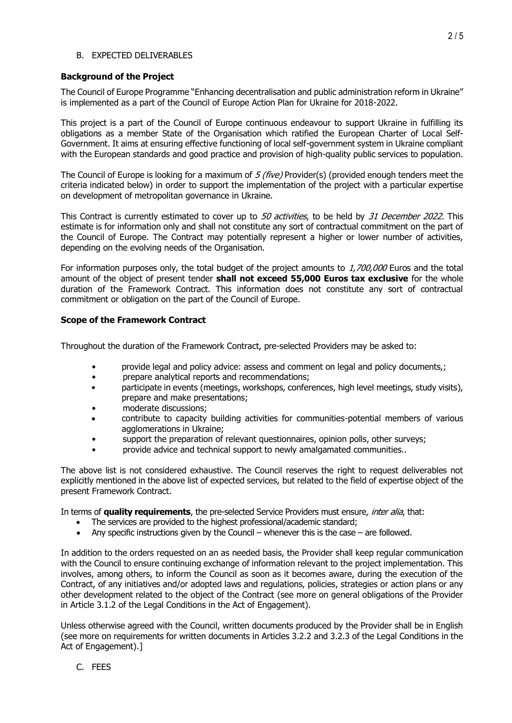#### B. EXPECTED DELIVERABLES

#### **Background of the Project**

The Council of Europe Programme "Enhancing decentralisation and public administration reform in Ukraine" is implemented as a part of the Council of Europe Action Plan for Ukraine for 2018-2022.

This project is a part of the Council of Europe continuous endeavour to support Ukraine in fulfilling its obligations as a member State of the Organisation which ratified the European Charter of Local Self-Government. It aims at ensuring effective functioning of local self-government system in Ukraine compliant with the European standards and good practice and provision of high-quality public services to population.

The Council of Europe is looking for a maximum of  $5$  (five) Provider(s) (provided enough tenders meet the criteria indicated below) in order to support the implementation of the project with a particular expertise on development of metropolitan governance in Ukraine.

This Contract is currently estimated to cover up to 50 activities, to be held by 31 December 2022. This estimate is for information only and shall not constitute any sort of contractual commitment on the part of the Council of Europe. The Contract may potentially represent a higher or lower number of activities, depending on the evolving needs of the Organisation.

For information purposes only, the total budget of the project amounts to 1,700,000 Euros and the total amount of the object of present tender **shall not exceed 55,000 Euros tax exclusive** for the whole duration of the Framework Contract. This information does not constitute any sort of contractual commitment or obligation on the part of the Council of Europe.

## **Scope of the Framework Contract**

Throughout the duration of the Framework Contract, pre-selected Providers may be asked to:

- provide legal and policy advice: assess and comment on legal and policy documents,;
- prepare analytical reports and recommendations;
- participate in events (meetings, workshops, conferences, high level meetings, study visits), prepare and make presentations;
- moderate discussions;
- contribute to capacity building activities for communities-potential members of various agglomerations in Ukraine:
- support the preparation of relevant questionnaires, opinion polls, other surveys;
- provide advice and technical support to newly amalgamated communities..

The above list is not considered exhaustive. The Council reserves the right to request deliverables not explicitly mentioned in the above list of expected services, but related to the field of expertise object of the present Framework Contract.

In terms of **quality requirements**, the pre-selected Service Providers must ensure, inter alia, that:

- The services are provided to the highest professional/academic standard;
- Any specific instructions given by the Council whenever this is the case are followed.

In addition to the orders requested on an as needed basis, the Provider shall keep regular communication with the Council to ensure continuing exchange of information relevant to the project implementation. This involves, among others, to inform the Council as soon as it becomes aware, during the execution of the Contract, of any initiatives and/or adopted laws and regulations, policies, strategies or action plans or any other development related to the object of the Contract (see more on general obligations of the Provider in Article 3.1.2 of the Legal Conditions in the Act of Engagement).

Unless otherwise agreed with the Council, written documents produced by the Provider shall be in English (see more on requirements for written documents in Articles 3.2.2 and 3.2.3 of the Legal Conditions in the Act of Engagement).]

C. FEES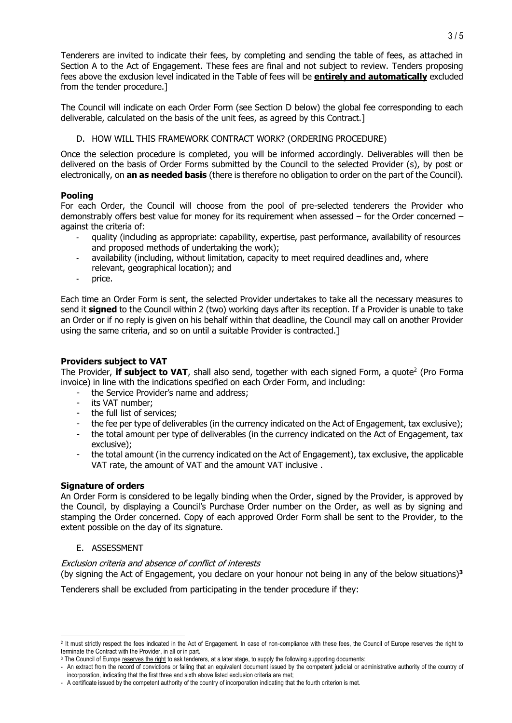Tenderers are invited to indicate their fees, by completing and sending the table of fees, as attached in Section A to the Act of Engagement. These fees are final and not subject to review. Tenders proposing fees above the exclusion level indicated in the Table of fees will be **entirely and automatically** excluded from the tender procedure.]

The Council will indicate on each Order Form (see Section [D](#page-2-0) below) the global fee corresponding to each deliverable, calculated on the basis of the unit fees, as agreed by this Contract.]

#### D. HOW WILL THIS FRAMEWORK CONTRACT WORK? (ORDERING PROCEDURE)

<span id="page-2-0"></span>Once the selection procedure is completed, you will be informed accordingly. Deliverables will then be delivered on the basis of Order Forms submitted by the Council to the selected Provider (s), by post or electronically, on **an as needed basis** (there is therefore no obligation to order on the part of the Council).

#### **Pooling**

For each Order, the Council will choose from the pool of pre-selected tenderers the Provider who demonstrably offers best value for money for its requirement when assessed – for the Order concerned – against the criteria of:

- quality (including as appropriate: capability, expertise, past performance, availability of resources and proposed methods of undertaking the work);
- availability (including, without limitation, capacity to meet required deadlines and, where relevant, geographical location); and
- price.

Each time an Order Form is sent, the selected Provider undertakes to take all the necessary measures to send it **signed** to the Council within 2 (two) working days after its reception. If a Provider is unable to take an Order or if no reply is given on his behalf within that deadline, the Council may call on another Provider using the same criteria, and so on until a suitable Provider is contracted.]

## **Providers subject to VAT**

The Provider, **if subject to VAT**, shall also send, together with each signed Form, a quote<sup>2</sup> (Pro Forma invoice) in line with the indications specified on each Order Form, and including:

- the Service Provider's name and address;
- its VAT number;
- the full list of services;
- the fee per type of deliverables (in the currency indicated on the Act of Engagement, tax exclusive);
- the total amount per type of deliverables (in the currency indicated on the Act of Engagement, tax exclusive);
- the total amount (in the currency indicated on the Act of Engagement), tax exclusive, the applicable VAT rate, the amount of VAT and the amount VAT inclusive .

#### **Signature of orders**

An Order Form is considered to be legally binding when the Order, signed by the Provider, is approved by the Council, by displaying a Council's Purchase Order number on the Order, as well as by signing and stamping the Order concerned. Copy of each approved Order Form shall be sent to the Provider, to the extent possible on the day of its signature.

## E. ASSESSMENT

#### Exclusion criteria and absence of conflict of interests

(by signing the Act of Engagement, you declare on your honour not being in any of the below situations)**<sup>3</sup>**

Tenderers shall be excluded from participating in the tender procedure if they:

<sup>&</sup>lt;sup>2</sup> It must strictly respect the fees indicated in the Act of Engagement. In case of non-compliance with these fees, the Council of Europe reserves the right to terminate the Contract with the Provider, in all or in part.

<sup>&</sup>lt;sup>3</sup> The Council of Europe reserves the right to ask tenderers, at a later stage, to supply the following supporting documents:

<sup>-</sup> An extract from the record of convictions or failing that an equivalent document issued by the competent judicial or administrative authority of the country of incorporation, indicating that the first three and sixth above listed exclusion criteria are met;

<sup>-</sup> A certificate issued by the competent authority of the country of incorporation indicating that the fourth criterion is met.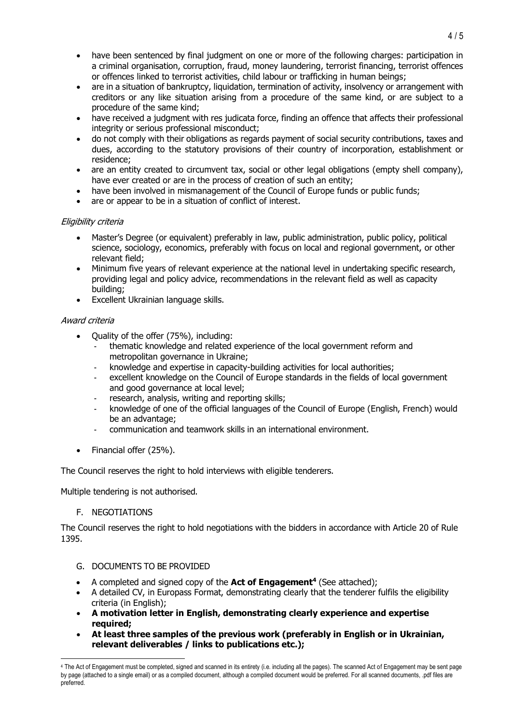- have been sentenced by final judgment on one or more of the following charges: participation in a criminal organisation, corruption, fraud, money laundering, terrorist financing, terrorist offences or offences linked to terrorist activities, child labour or trafficking in human beings;
- are in a situation of bankruptcy, liquidation, termination of activity, insolvency or arrangement with creditors or any like situation arising from a procedure of the same kind, or are subject to a procedure of the same kind;
- have received a judgment with res judicata force, finding an offence that affects their professional integrity or serious professional misconduct;
- do not comply with their obligations as regards payment of social security contributions, taxes and dues, according to the statutory provisions of their country of incorporation, establishment or residence;
- are an entity created to circumvent tax, social or other legal obligations (empty shell company), have ever created or are in the process of creation of such an entity;
- have been involved in mismanagement of the Council of Europe funds or public funds;
- are or appear to be in a situation of conflict of interest.

## Eligibility criteria

- Master's Degree (or equivalent) preferably in law, public administration, public policy, political science, sociology, economics, preferably with focus on local and regional government, or other relevant field;
- Minimum five years of relevant experience at the national level in undertaking specific research, providing legal and policy advice, recommendations in the relevant field as well as capacity building;
- Excellent Ukrainian language skills.

## Award criteria

- Quality of the offer (75%), including:
	- thematic knowledge and related experience of the local government reform and metropolitan governance in Ukraine;
	- knowledge and expertise in capacity-building activities for local authorities;
	- excellent knowledge on the Council of Europe standards in the fields of local government and good governance at local level;
	- research, analysis, writing and reporting skills;
	- knowledge of one of the official languages of the Council of Europe (English, French) would be an advantage:
	- communication and teamwork skills in an international environment.
- Financial offer (25%).

The Council reserves the right to hold interviews with eligible tenderers.

Multiple tendering is not authorised.

# F. NEGOTIATIONS

The Council reserves the right to hold negotiations with the bidders in accordance with Article 20 of Rule 1395.

## G. DOCUMENTS TO BE PROVIDED

- A completed and signed copy of the **Act of Engagement<sup>4</sup>** (See attached);
- A detailed CV, in Europass Format, demonstrating clearly that the tenderer fulfils the eligibility criteria (in English);
- **A motivation letter in English, demonstrating clearly experience and expertise required;**
- **At least three samples of the previous work (preferably in English or in Ukrainian, relevant deliverables / links to publications etc.);**

<sup>4</sup> The Act of Engagement must be completed, signed and scanned in its entirety (i.e. including all the pages). The scanned Act of Engagement may be sent page by page (attached to a single email) or as a compiled document, although a compiled document would be preferred. For all scanned documents, .pdf files are preferred.